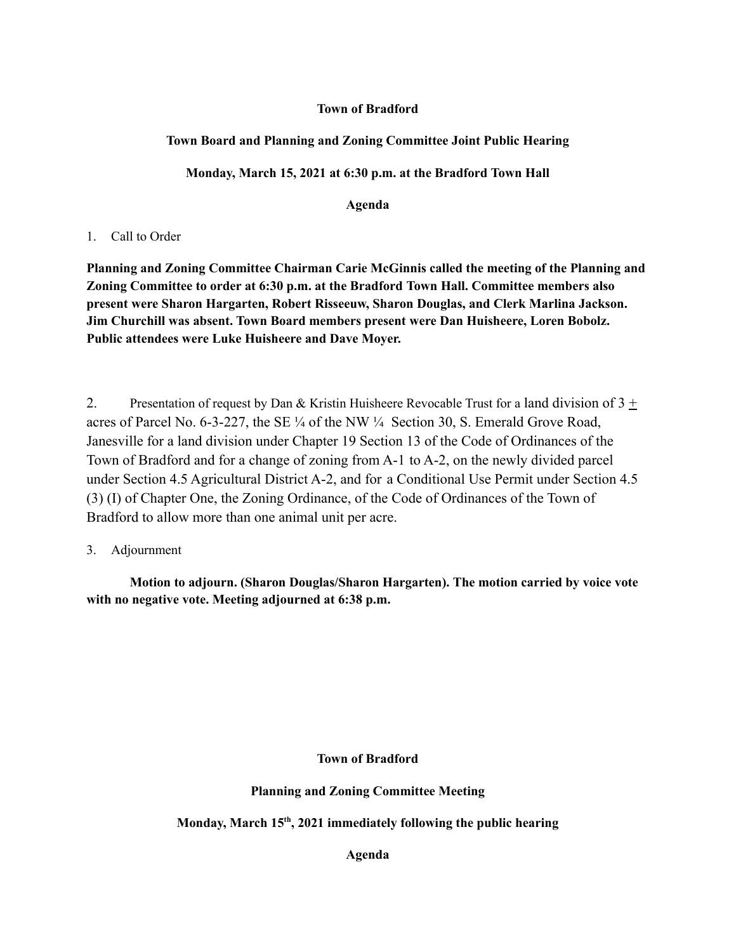#### **Town of Bradford**

# **Town Board and Planning and Zoning Committee Joint Public Hearing**

# **Monday, March 15, 2021 at 6:30 p.m. at the Bradford Town Hall**

**Agenda**

### 1. Call to Order

**Planning and Zoning Committee Chairman Carie McGinnis called the meeting of the Planning and Zoning Committee to order at 6:30 p.m. at the Bradford Town Hall. Committee members also present were Sharon Hargarten, Robert Risseeuw, Sharon Douglas, and Clerk Marlina Jackson. Jim Churchill was absent. Town Board members present were Dan Huisheere, Loren Bobolz. Public attendees were Luke Huisheere and Dave Moyer.**

2. Presentation of request by Dan & Kristin Huisheere Revocable Trust for a land division of  $3 \pm$ acres of Parcel No. 6-3-227, the SE  $\frac{1}{4}$  of the NW  $\frac{1}{4}$  Section 30, S. Emerald Grove Road, Janesville for a land division under Chapter 19 Section 13 of the Code of Ordinances of the Town of Bradford and for a change of zoning from A-1 to A-2, on the newly divided parcel under Section 4.5 Agricultural District A-2, and for a Conditional Use Permit under Section 4.5 (3) (I) of Chapter One, the Zoning Ordinance, of the Code of Ordinances of the Town of Bradford to allow more than one animal unit per acre.

3. Adjournment

**Motion to adjourn. (Sharon Douglas/Sharon Hargarten). The motion carried by voice vote with no negative vote. Meeting adjourned at 6:38 p.m.**

**Town of Bradford**

**Planning and Zoning Committee Meeting**

**Monday, March 15 th , 2021 immediately following the public hearing**

**Agenda**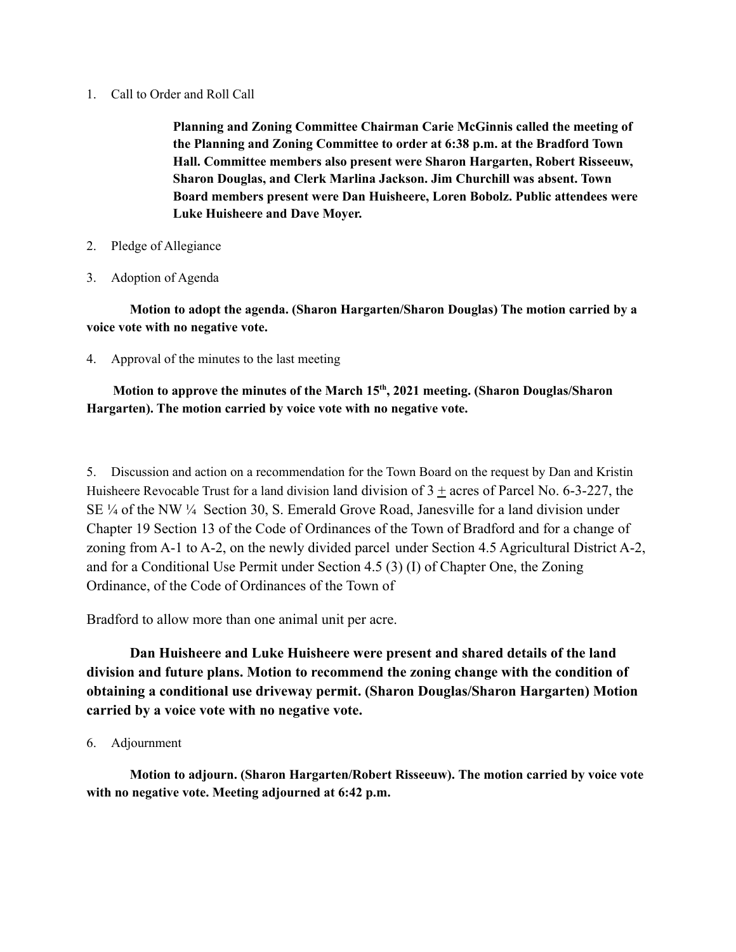1. Call to Order and Roll Call

**Planning and Zoning Committee Chairman Carie McGinnis called the meeting of the Planning and Zoning Committee to order at 6:38 p.m. at the Bradford Town Hall. Committee members also present were Sharon Hargarten, Robert Risseeuw, Sharon Douglas, and Clerk Marlina Jackson. Jim Churchill was absent. Town Board members present were Dan Huisheere, Loren Bobolz. Public attendees were Luke Huisheere and Dave Moyer.**

- 2. Pledge of Allegiance
- 3. Adoption of Agenda

**Motion to adopt the agenda. (Sharon Hargarten/Sharon Douglas) The motion carried by a voice vote with no negative vote.**

4. Approval of the minutes to the last meeting

#### **Motion to approve the minutes of the March 15 th , 2021 meeting. (Sharon Douglas/Sharon Hargarten). The motion carried by voice vote with no negative vote.**

5. Discussion and action on a recommendation for the Town Board on the request by Dan and Kristin Huisheere Revocable Trust for a land division land division of  $3 +$  acres of Parcel No. 6-3-227, the SE ¼ of the NW ¼ Section 30, S. Emerald Grove Road, Janesville for a land division under Chapter 19 Section 13 of the Code of Ordinances of the Town of Bradford and for a change of zoning from A-1 to A-2, on the newly divided parcel under Section 4.5 Agricultural District A-2, and for a Conditional Use Permit under Section 4.5 (3) (I) of Chapter One, the Zoning Ordinance, of the Code of Ordinances of the Town of

Bradford to allow more than one animal unit per acre.

**Dan Huisheere and Luke Huisheere were present and shared details of the land division and future plans. Motion to recommend the zoning change with the condition of obtaining a conditional use driveway permit. (Sharon Douglas/Sharon Hargarten) Motion carried by a voice vote with no negative vote.**

6. Adjournment

**Motion to adjourn. (Sharon Hargarten/Robert Risseeuw). The motion carried by voice vote with no negative vote. Meeting adjourned at 6:42 p.m.**